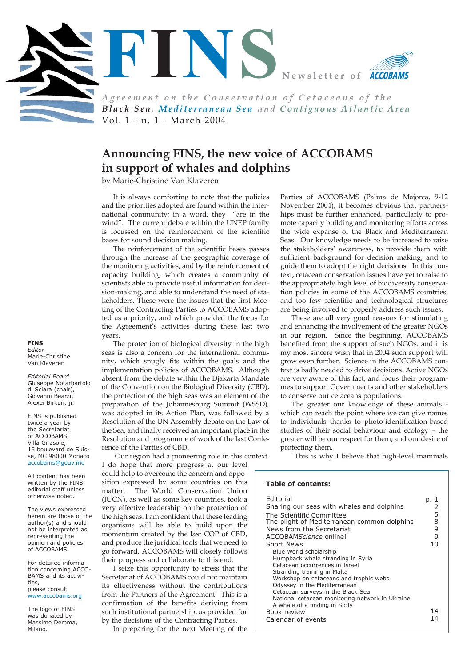

*Agreement on the Conservation of Cetaceans of the Black Sea, Mediterranean Sea and Contiguous Atlantic Area* Vol. 1 - n. 1 - March 2004

# **Announcing FINS, the new voice of ACCOBAMS in support of whales and dolphins**

by Marie-Christine Van Klaveren

It is always comforting to note that the policies and the priorities adopted are found within the international community; in a word, they "are in the wind". The current debate within the UNEP family is focussed on the reinforcement of the scientific bases for sound decision making.

The reinforcement of the scientific bases passes through the increase of the geographic coverage of the monitoring activities, and by the reinforcement of capacity building, which creates a community of scientists able to provide useful information for decision-making, and able to understand the need of stakeholders. These were the issues that the first Meeting of the Contracting Parties to ACCOBAMS adopted as a priority, and which provided the focus for the Agreement's activities during these last two years.

The protection of biological diversity in the high seas is also a concern for the international community, which snugly fits within the goals and the implementation policies of ACCOBAMS. Although absent from the debate within the Djakarta Mandate of the Convention on the Biological Diversity (CBD), the protection of the high seas was an element of the preparation of the Johannesburg Summit (WSSD), was adopted in its Action Plan, was followed by a Resolution of the UN Assembly debate on the Law of the Sea, and finally received an important place in the Resolution and programme of work of the last Confe-

rence of the Parties of CBD. Our region had a pioneering role in this context. I do hope that more progress at our level could help to overcome the concern and opposition expressed by some countries on this matter. The World Conservation Union (IUCN), as well as some key countries, took a very effective leadership on the protection of the high seas. I am confident that these leading organisms will be able to build upon the momentum created by the last COP of CBD,

and produce the juridical tools that we need to go forward. ACCOBAMS will closely follows their progress and collaborate to this end. I seize this opportunity to stress that the

Secretariat of ACCOBAMS could not maintain its effectiveness without the contributions from the Partners of the Agreement. This is a confirmation of the benefits deriving from such institutional partnership, as provided for by the decisions of the Contracting Parties.

In preparing for the next Meeting of the

Parties of ACCOBAMS (Palma de Majorca, 9-12 November 2004), it becomes obvious that partnerships must be further enhanced, particularly to promote capacity building and monitoring efforts across the wide expanse of the Black and Mediterranean Seas. Our knowledge needs to be increased to raise the stakeholders' awareness, to provide them with sufficient background for decision making, and to guide them to adopt the right decisions. In this context, cetacean conservation issues have yet to raise to the appropriately high level of biodiversity conservation policies in some of the ACCOBAMS countries, and too few scientific and technological structures are being involved to properly address such issues.

These are all very good reasons for stimulating and enhancing the involvement of the greater NGOs in our region. Since the beginning, ACCOBAMS benefited from the support of such NGOs, and it is my most sincere wish that in 2004 such support will grow even further. Science in the ACCOBAMS context is badly needed to drive decisions. Active NGOs are very aware of this fact, and focus their programmes to support Governments and other stakeholders to conserve our cetaceans populations.

The greater our knowledge of these animals which can reach the point where we can give names to individuals thanks to photo-identification-based studies of their social behaviour and ecology – the greater will be our respect for them, and our desire of protecting them.

This is why I believe that high-level mammals

#### **Table of contents:**

| <b>Editorial</b>                                                                                                                                                                                                                                                                                                                 | p. 1 |
|----------------------------------------------------------------------------------------------------------------------------------------------------------------------------------------------------------------------------------------------------------------------------------------------------------------------------------|------|
| Sharing our seas with whales and dolphins                                                                                                                                                                                                                                                                                        | 2    |
| The Scientific Committee                                                                                                                                                                                                                                                                                                         | 5    |
| The plight of Mediterranean common dolphins                                                                                                                                                                                                                                                                                      | 8    |
| News from the Secretariat                                                                                                                                                                                                                                                                                                        | 9    |
| ACCOBAMScience online!                                                                                                                                                                                                                                                                                                           | 9    |
| Short News                                                                                                                                                                                                                                                                                                                       | 10   |
| Blue World scholarship<br>Humpback whale stranding in Syria<br>Cetacean occurrences in Israel<br>Stranding training in Malta<br>Workshop on cetaceans and trophic webs<br>Odyssey in the Mediterranean<br>Cetacean surveys in the Black Sea<br>National cetacean monitoring network in Ukraine<br>A whale of a finding in Sicily |      |
| Book review                                                                                                                                                                                                                                                                                                                      | 14   |
| Calendar of events                                                                                                                                                                                                                                                                                                               | 14   |

**FINS** *Editor* Marie-Christine Van Klaveren

*Editorial Board* Giuseppe Notarbartolo di Sciara (chair), Giovanni Bearzi, Alexei Birkun, jr.

FINS is published twice a year by the Secretariat of ACCOBAMS, Villa Girasole, 16 boulevard de Suisse, MC 98000 Monaco [accobams@gouv.mc](mailto:accobams@gouv.mc)

All content has been written by the FINS editorial staff unless otherwise noted.

The views expressed herein are those of the author(s) and should not be interpreted as representing the opinion and policies of ACCOBAMS.

For detailed information concerning ACCO-BAMS and its activities, please consult

[www.accobams.org](http://www.accobams.org)

The logo of FINS was donated by Massimo Demma, Milano.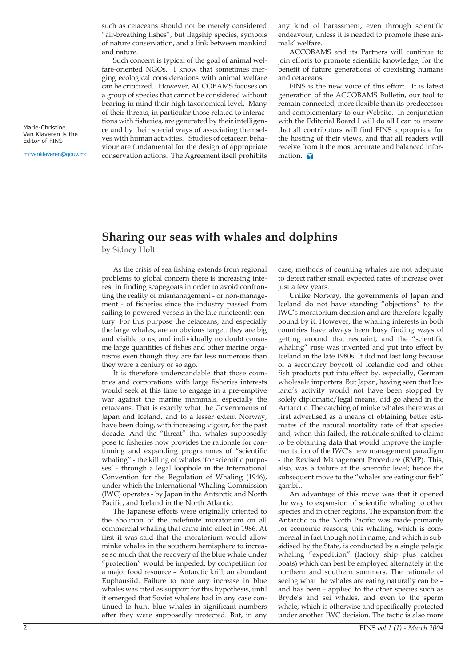such as cetaceans should not be merely considered "air-breathing fishes", but flagship species, symbols of nature conservation, and a link between mankind and nature.

Such concern is typical of the goal of animal welfare-oriented NGOs. I know that sometimes merging ecological considerations with animal welfare can be criticized. However, ACCOBAMS focuses on a group of species that cannot be considered without bearing in mind their high taxonomical level. Many of their threats, in particular those related to interactions with fisheries, are generated by their intelligence and by their special ways of associating themselves with human activities. Studies of cetacean behaviour are fundamental for the design of appropriate conservation actions. The Agreement itself prohibits

any kind of harassment, even through scientific endeavour, unless it is needed to promote these animals' welfare.

ACCOBAMS and its Partners will continue to join efforts to promote scientific knowledge, for the benefit of future generations of coexisting humans and cetaceans.

FINS is the new voice of this effort. It is latest generation of the ACCOBAMS Bulletin, our tool to remain connected, more flexible than its predecessor and complementary to our Website. In conjunction with the Editorial Board I will do all I can to ensure that all contributors will find FINS appropriate for the hosting of their views, and that all readers will receive from it the most accurate and balanced information. T

## **Sharing our seas with whales and dolphins**

by Sidney Holt

As the crisis of sea fishing extends from regional problems to global concern there is increasing interest in finding scapegoats in order to avoid confronting the reality of mismanagement - or non-management - of fisheries since the industry passed from sailing to powered vessels in the late nineteenth century. For this purpose the cetaceans, and especially the large whales, are an obvious target: they are big and visible to us, and individually no doubt consume large quantities of fishes and other marine organisms even though they are far less numerous than they were a century or so ago.

It is therefore understandable that those countries and corporations with large fisheries interests would seek at this time to engage in a pre-emptive war against the marine mammals, especially the cetaceans. That is exactly what the Governments of Japan and Iceland, and to a lesser extent Norway, have been doing, with increasing vigour, for the past decade. And the "threat" that whales supposedly pose to fisheries now provides the rationale for continuing and expanding programmes of "scientific whaling" - the killing of whales 'for scientific purposes' - through a legal loophole in the International Convention for the Regulation of Whaling (1946), under which the International Whaling Commission (IWC) operates - by Japan in the Antarctic and North Pacific, and Iceland in the North Atlantic.

The Japanese efforts were originally oriented to the abolition of the indefinite moratorium on all commercial whaling that came into effect in 1986. At first it was said that the moratorium would allow minke whales in the southern hemisphere to increase so much that the recovery of the blue whale under "protection" would be impeded, by competition for a major food resource – Antarctic krill, an abundant Euphausiid. Failure to note any increase in blue whales was cited as support for this hypothesis, until it emerged that Soviet whalers had in any case continued to hunt blue whales in significant numbers after they were supposedly protected. But, in any

case, methods of counting whales are not adequate to detect rather small expected rates of increase over just a few years.

Unlike Norway, the governments of Japan and Iceland do not have standing "objections" to the IWC's moratorium decision and are therefore legally bound by it. However, the whaling interests in both countries have always been busy finding ways of getting around that restraint, and the "scientific whaling" ruse was invented and put into effect by Iceland in the late 1980s. It did not last long because of a secondary boycott of Icelandic cod and other fish products put into effect by, especially, German wholesale importers. But Japan, having seen that Iceland's activity would not have been stopped by solely diplomatic/legal means, did go ahead in the Antarctic. The catching of minke whales there was at first advertised as a means of obtaining better estimates of the natural mortality rate of that species and, when this failed, the rationale shifted to claims to be obtaining data that would improve the implementation of the IWC's new management paradigm - the Revised Management Procedure (RMP). This, also, was a failure at the scientific level; hence the subsequent move to the "whales are eating our fish" gambit.

An advantage of this move was that it opened the way to expansion of scientific whaling to other species and in other regions. The expansion from the Antarctic to the North Pacific was made primarily for economic reasons; this whaling, which is commercial in fact though not in name, and which is subsidised by the State, is conducted by a single pelagic whaling "expedition" (factory ship plus catcher boats) which can best be employed alternately in the northern and southern summers. The rationale of seeing what the whales are eating naturally can be – and has been - applied to the other species such as Bryde's and sei whales, and even to the sperm whale, which is otherwise and specifically protected under another IWC decision. The tactic is also more

Marie-Christine Van Klaveren is the Editor of FINS

[mcvanklaveren@gouv.mc](mailto:mcvanklaveren@gouv.mc)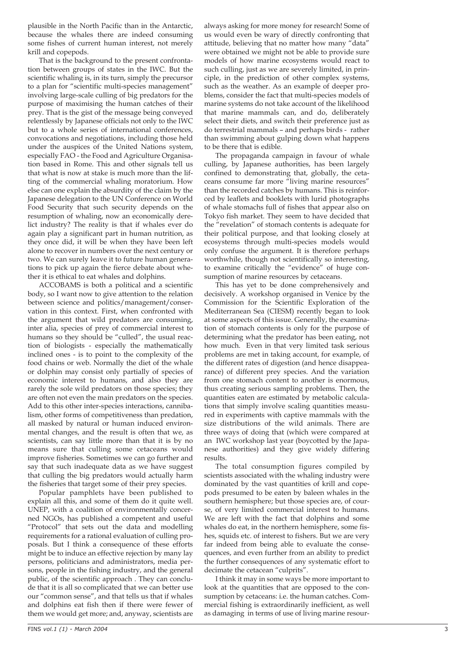plausible in the North Pacific than in the Antarctic, because the whales there are indeed consuming some fishes of current human interest, not merely krill and copepods.

That is the background to the present confrontation between groups of states in the IWC. But the scientific whaling is, in its turn, simply the precursor to a plan for "scientific multi-species management" involving large-scale culling of big predators for the purpose of maximising the human catches of their prey. That is the gist of the message being conveyed relentlessly by Japanese officials not only to the IWC but to a whole series of international conferences, convocations and negotiations, including those held under the auspices of the United Nations system, especially FAO - the Food and Agriculture Organisation based in Rome. This and other signals tell us that what is now at stake is much more than the lifting of the commercial whaling moratorium. How else can one explain the absurdity of the claim by the Japanese delegation to the UN Conference on World Food Security that such security depends on the resumption of whaling, now an economically derelict industry? The reality is that if whales ever do again play a significant part in human nutrition, as they once did, it will be when they have been left alone to recover in numbers over the next century or two. We can surely leave it to future human generations to pick up again the fierce debate about whether it is ethical to eat whales and dolphins.

ACCOBAMS is both a political and a scientific body, so I want now to give attention to the relation between science and politics/management/conservation in this context. First, when confronted with the argument that wild predators are consuming, inter alia, species of prey of commercial interest to humans so they should be "culled", the usual reaction of biologists - especially the mathematically inclined ones - is to point to the complexity of the food chains or web. Normally the diet of the whale or dolphin may consist only partially of species of economic interest to humans, and also they are rarely the sole wild predators on those species; they are often not even the main predators on the species. Add to this other inter-species interactions, cannibalism, other forms of competitiveness than predation, all masked by natural or human induced environmental changes, and the result is often that we, as scientists, can say little more than that it is by no means sure that culling some cetaceans would improve fisheries. Sometimes we can go further and say that such inadequate data as we have suggest that culling the big predators would actually harm the fisheries that target some of their prey species.

Popular pamphlets have been published to explain all this, and some of them do it quite well. UNEP, with a coalition of environmentally concerned NGOs, has published a competent and useful "Protocol" that sets out the data and modelling requirements for a rational evaluation of culling proposals. But I think a consequence of these efforts might be to induce an effective rejection by many lay persons, politicians and administrators, media persons, people in the fishing industry, and the general public, of the scientific approach . They can conclude that it is all so complicated that we can better use our "common sense", and that tells us that if whales and dolphins eat fish then if there were fewer of them we would get more; and, anyway, scientists are

always asking for more money for research! Some of us would even be wary of directly confronting that attitude, believing that no matter how many "data" were obtained we might not be able to provide sure models of how marine ecosystems would react to such culling, just as we are severely limited, in principle, in the prediction of other complex systems, such as the weather. As an example of deeper problems, consider the fact that multi-species models of marine systems do not take account of the likelihood that marine mammals can, and do, deliberately select their diets, and switch their preference just as do terrestrial mammals – and perhaps birds - rather than swimming about gulping down what happens to be there that is edible.

The propaganda campaign in favour of whale culling, by Japanese authorities, has been largely confined to demonstrating that, globally, the cetaceans consume far more "living marine resources" than the recorded catches by humans. This is reinforced by leaflets and booklets with lurid photographs of whale stomachs full of fishes that appear also on Tokyo fish market. They seem to have decided that the "revelation" of stomach contents is adequate for their political purpose, and that looking closely at ecosystems through multi-species models would only confuse the argument. It is therefore perhaps worthwhile, though not scientifically so interesting, to examine critically the "evidence" of huge consumption of marine resources by cetaceans.

This has yet to be done comprehensively and decisively. A workshop organised in Venice by the Commission for the Scientific Exploration of the Mediterranean Sea (CIESM) recently began to look at some aspects of this issue. Generally, the examination of stomach contents is only for the purpose of determining what the predator has been eating, not how much. Even in that very limited task serious problems are met in taking account, for example, of the different rates of digestion (and hence disappearance) of different prey species. And the variation from one stomach content to another is enormous, thus creating serious sampling problems. Then, the quantities eaten are estimated by metabolic calculations that simply involve scaling quantities measured in experiments with captive mammals with the size distributions of the wild animals. There are three ways of doing that (which were compared at an IWC workshop last year (boycotted by the Japanese authorities) and they give widely differing results.

The total consumption figures compiled by scientists associated with the whaling industry were dominated by the vast quantities of krill and copepods presumed to be eaten by baleen whales in the southern hemisphere; but those species are, of course, of very limited commercial interest to humans. We are left with the fact that dolphins and some whales do eat, in the northern hemisphere, some fishes, squids etc. of interest to fishers. But we are very far indeed from being able to evaluate the consequences, and even further from an ability to predict the further consequences of any systematic effort to decimate the cetacean "culprits".

I think it may in some ways be more important to look at the quantities that are opposed to the consumption by cetaceans: i.e. the human catches. Commercial fishing is extraordinarily inefficient, as well as damaging in terms of use of living marine resour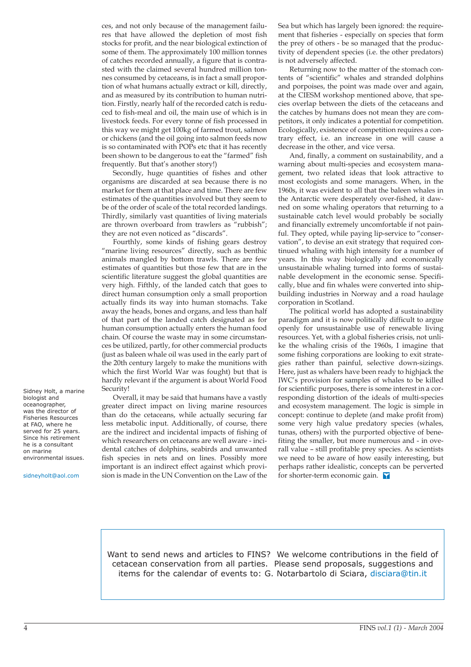ces, and not only because of the management failures that have allowed the depletion of most fish stocks for profit, and the near biological extinction of some of them. The approximately 100 million tonnes of catches recorded annually, a figure that is contrasted with the claimed several hundred million tonnes consumed by cetaceans, is in fact a small proportion of what humans actually extract or kill, directly, and as measured by its contribution to human nutrition. Firstly, nearly half of the recorded catch is reduced to fish-meal and oil, the main use of which is in livestock feeds. For every tonne of fish processed in this way we might get 100kg of farmed trout, salmon or chickens (and the oil going into salmon feeds now is so contaminated with POPs etc that it has recently been shown to be dangerous to eat the "farmed" fish frequently. But that's another story!)

Secondly, huge quantities of fishes and other organisms are discarded at sea because there is no market for them at that place and time. There are few estimates of the quantities involved but they seem to be of the order of scale of the total recorded landings. Thirdly, similarly vast quantities of living materials are thrown overboard from trawlers as "rubbish"; they are not even noticed as "discards".

Fourthly, some kinds of fishing gears destroy "marine living resources" directly, such as benthic animals mangled by bottom trawls. There are few estimates of quantities but those few that are in the scientific literature suggest the global quantities are very high. Fifthly, of the landed catch that goes to direct human consumption only a small proportion actually finds its way into human stomachs. Take away the heads, bones and organs, and less than half of that part of the landed catch designated as for human consumption actually enters the human food chain. Of course the waste may in some circumstances be utilized, partly, for other commercial products (just as baleen whale oil was used in the early part of the 20th century largely to make the munitions with which the first World War was fought) but that is hardly relevant if the argument is about World Food Security!

Overall, it may be said that humans have a vastly greater direct impact on living marine resources than do the cetaceans, while actually securing far less metabolic input. Additionally, of course, there are the indirect and incidental impacts of fishing of which researchers on cetaceans are well aware - incidental catches of dolphins, seabirds and unwanted fish species in nets and on lines. Possibly more important is an indirect effect against which provision is made in the UN Convention on the Law of the

Sea but which has largely been ignored: the requirement that fisheries - especially on species that form the prey of others - be so managed that the productivity of dependent species (i.e. the other predators) is not adversely affected.

Returning now to the matter of the stomach contents of "scientific" whales and stranded dolphins and porpoises, the point was made over and again, at the CIESM workshop mentioned above, that species overlap between the diets of the cetaceans and the catches by humans does not mean they are competitors, it only indicates a potential for competition. Ecologically, existence of competition requires a contrary effect, i.e. an increase in one will cause a decrease in the other, and vice versa.

And, finally, a comment on sustainability, and a warning about multi-species and ecosystem management, two related ideas that look attractive to most ecologists and some managers. When, in the 1960s, it was evident to all that the baleen whales in the Antarctic were desperately over-fished, it dawned on some whaling operators that returning to a sustainable catch level would probably be socially and financially extremely uncomfortable if not painful. They opted, while paying lip-service to "conservation", to devise an exit strategy that required continued whaling with high intensity for a number of years. In this way biologically and economically unsustainable whaling turned into forms of sustainable development in the economic sense. Specifically, blue and fin whales were converted into shipbuilding industries in Norway and a road haulage corporation in Scotland.

The political world has adopted a sustainability paradigm and it is now politically difficult to argue openly for unsustainable use of renewable living resources. Yet, with a global fisheries crisis, not unlike the whaling crisis of the 1960s, I imagine that some fishing corporations are looking to exit strategies rather than painful, selective down-sizings. Here, just as whalers have been ready to highjack the IWC's provision for samples of whales to be killed for scientific purposes, there is some interest in a corresponding distortion of the ideals of multi-species and ecosystem management. The logic is simple in concept: continue to deplete (and make profit from) some very high value predatory species (whales, tunas, others) with the purported objective of benefiting the smaller, but more numerous and - in overall value – still profitable prey species. As scientists we need to be aware of how easily interesting, but perhaps rather idealistic, concepts can be perverted for shorter-term economic gain.

Want to send news and articles to FINS? We welcome contributions in the field of cetacean conservation from all parties. Please send proposals, suggestions and items for the calendar of events to: G. Notarbartolo di Sciara[, disciara@tin.it](mailto:disciara@tin.it)

Sidney Holt, a marine biologist and oceanographer, was the director of Fisheries Resources at FAO, where he served for 25 years. Since his retirement he is a consultant on marine environmental issues.

[sidneyholt@aol.com](mailto:sidneyholt@aol.com)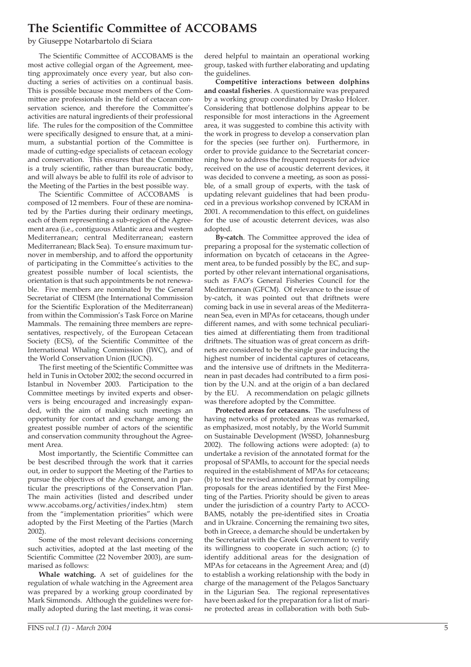# **The Scientific Committee of ACCOBAMS**

by Giuseppe Notarbartolo di Sciara

The Scientific Committee of ACCOBAMS is the most active collegial organ of the Agreement, meeting approximately once every year, but also conducting a series of activities on a continual basis. This is possible because most members of the Committee are professionals in the field of cetacean conservation science, and therefore the Committee's activities are natural ingredients of their professional life. The rules for the composition of the Committee were specifically designed to ensure that, at a minimum, a substantial portion of the Committee is made of cutting-edge specialists of cetacean ecology and conservation. This ensures that the Committee is a truly scientific, rather than bureaucratic body, and will always be able to fulfil its role of advisor to the Meeting of the Parties in the best possible way.

The Scientific Committee of ACCOBAMS is composed of 12 members. Four of these are nominated by the Parties during their ordinary meetings, each of them representing a sub-region of the Agreement area (i.e., contiguous Atlantic area and western Mediterranean; central Mediterranean; eastern Mediterranean; Black Sea). To ensure maximum turnover in membership, and to afford the opportunity of participating in the Committee's activities to the greatest possible number of local scientists, the orientation is that such appointments be not renewable. Five members are nominated by the General Secretariat of CIESM (the International Commission for the Scientific Exploration of the Mediterranean) from within the Commission's Task Force on Marine Mammals. The remaining three members are representatives, respectively, of the European Cetacean Society (ECS), of the Scientific Committee of the International Whaling Commission (IWC), and of the World Conservation Union (IUCN).

The first meeting of the Scientific Committee was held in Tunis in October 2002; the second occurred in Istanbul in November 2003. Participation to the Committee meetings by invited experts and observers is being encouraged and increasingly expanded, with the aim of making such meetings an opportunity for contact and exchange among the greatest possible number of actors of the scientific and conservation community throughout the Agreement Area.

Most importantly, the Scientific Committee can be best described through the work that it carries out, in order to support the Meeting of the Parties to pursue the objectives of the Agreement, and in particular the prescriptions of the Conservation Plan. The main activities (listed and described under www.accobams.org/activities/index.htm) stem from the "implementation priorities" which were adopted by the First Meeting of the Parties (March 2002).

Some of the most relevant decisions concerning such activities, adopted at the last meeting of the Scientific Committee (22 November 2003), are summarised as follows:

**Whale watching.** A set of guidelines for the regulation of whale watching in the Agreement area was prepared by a working group coordinated by Mark Simmonds. Although the guidelines were formally adopted during the last meeting, it was considered helpful to maintain an operational working group, tasked with further elaborating and updating the guidelines.

**Competitive interactions between dolphins and coastal fisheries**. A questionnaire was prepared by a working group coordinated by Drasko Holcer. Considering that bottlenose dolphins appear to be responsible for most interactions in the Agreement area, it was suggested to combine this activity with the work in progress to develop a conservation plan for the species (see further on). Furthermore, in order to provide guidance to the Secretariat concerning how to address the frequent requests for advice received on the use of acoustic deterrent devices, it was decided to convene a meeting, as soon as possible, of a small group of experts, with the task of updating relevant guidelines that had been produced in a previous workshop convened by ICRAM in 2001. A recommendation to this effect, on guidelines for the use of acoustic deterrent devices, was also adopted.

**By-catch**. The Committee approved the idea of preparing a proposal for the systematic collection of information on bycatch of cetaceans in the Agreement area, to be funded possibly by the EC, and supported by other relevant international organisations, such as FAO's General Fisheries Council for the Mediterranean (GFCM). Of relevance to the issue of by-catch, it was pointed out that driftnets were coming back in use in several areas of the Mediterranean Sea, even in MPAs for cetaceans, though under different names, and with some technical peculiarities aimed at differentiating them from traditional driftnets. The situation was of great concern as driftnets are considered to be the single gear inducing the highest number of incidental captures of cetaceans, and the intensive use of driftnets in the Mediterranean in past decades had contributed to a firm position by the U.N. and at the origin of a ban declared by the EU. A recommendation on pelagic gillnets was therefore adopted by the Committee.

**Protected areas for cetaceans.** The usefulness of having networks of protected areas was remarked, as emphasized, most notably, by the World Summit on Sustainable Development (WSSD, Johannesburg 2002). The following actions were adopted: (a) to undertake a revision of the annotated format for the proposal of SPAMIs, to account for the special needs required in the establishment of MPAs for cetaceans; (b) to test the revised annotated format by compiling proposals for the areas identified by the First Meeting of the Parties. Priority should be given to areas under the jurisdiction of a country Party to ACCO-BAMS, notably the pre-identified sites in Croatia and in Ukraine. Concerning the remaining two sites, both in Greece, a demarche should be undertaken by the Secretariat with the Greek Government to verify its willingness to cooperate in such action; (c) to identify additional areas for the designation of MPAs for cetaceans in the Agreement Area; and (d) to establish a working relationship with the body in charge of the management of the Pelagos Sanctuary in the Ligurian Sea. The regional representatives have been asked for the preparation for a list of marine protected areas in collaboration with both Sub-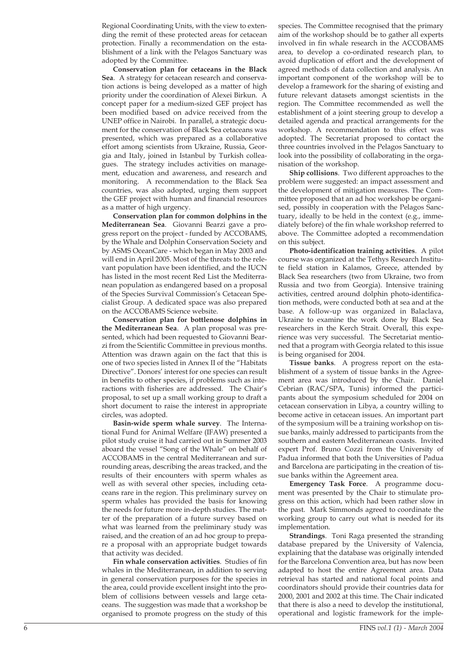Regional Coordinating Units, with the view to extending the remit of these protected areas for cetacean protection. Finally a recommendation on the establishment of a link with the Pelagos Sanctuary was adopted by the Committee.

**Conservation plan for cetaceans in the Black Sea**. A strategy for cetacean research and conservation actions is being developed as a matter of high priority under the coordination of Alexei Birkun. A concept paper for a medium-sized GEF project has been modified based on advice received from the UNEP office in Nairobi. In parallel, a strategic document for the conservation of Black Sea cetaceans was presented, which was prepared as a collaborative effort among scientists from Ukraine, Russia, Georgia and Italy, joined in Istanbul by Turkish colleagues. The strategy includes activities on management, education and awareness, and research and monitoring. A recommendation to the Black Sea countries, was also adopted, urging them support the GEF project with human and financial resources as a matter of high urgency.

**Conservation plan for common dolphins in the Mediterranean Sea**. Giovanni Bearzi gave a progress report on the project - funded by ACCOBAMS, by the Whale and Dolphin Conservation Society and by ASMS OceanCare - which began in May 2003 and will end in April 2005. Most of the threats to the relevant population have been identified, and the IUCN has listed in the most recent Red List the Mediterranean population as endangered based on a proposal of the Species Survival Commission's Cetacean Specialist Group. A dedicated space was also prepared on the ACCOBAMS Science website.

**Conservation plan for bottlenose dolphins in the Mediterranean Sea**. A plan proposal was presented, which had been requested to Giovanni Bearzi from the Scientific Committee in previous months. Attention was drawn again on the fact that this is one of two species listed in Annex II of the "Habitats Directive". Donors' interest for one species can result in benefits to other species, if problems such as interactions with fisheries are addressed. The Chair's proposal, to set up a small working group to draft a short document to raise the interest in appropriate circles, was adopted.

**Basin-wide sperm whale survey**. The International Fund for Animal Welfare (IFAW) presented a pilot study cruise it had carried out in Summer 2003 aboard the vessel "Song of the Whale" on behalf of ACCOBAMS in the central Mediterranean and surrounding areas, describing the areas tracked, and the results of their encounters with sperm whales as well as with several other species, including cetaceans rare in the region. This preliminary survey on sperm whales has provided the basis for knowing the needs for future more in-depth studies. The matter of the preparation of a future survey based on what was learned from the preliminary study was raised, and the creation of an ad hoc group to prepare a proposal with an appropriate budget towards that activity was decided.

**Fin whale conservation activities**. Studies of fin whales in the Mediterranean, in addition to serving in general conservation purposes for the species in the area, could provide excellent insight into the problem of collisions between vessels and large cetaceans. The suggestion was made that a workshop be organised to promote progress on the study of this

species. The Committee recognised that the primary aim of the workshop should be to gather all experts involved in fin whale research in the ACCOBAMS area, to develop a co-ordinated research plan, to avoid duplication of effort and the development of agreed methods of data collection and analysis. An important component of the workshop will be to develop a framework for the sharing of existing and future relevant datasets amongst scientists in the region. The Committee recommended as well the establishment of a joint steering group to develop a detailed agenda and practical arrangements for the workshop. A recommendation to this effect was adopted. The Secretariat proposed to contact the three countries involved in the Pelagos Sanctuary to look into the possibility of collaborating in the organisation of the workshop.

**Ship collisions**. Two different approaches to the problem were suggested: an impact assessment and the development of mitigation measures. The Committee proposed that an ad hoc workshop be organised, possibly in cooperation with the Pelagos Sanctuary, ideally to be held in the context (e.g., immediately before) of the fin whale workshop referred to above. The Committee adopted a recommendation on this subject.

**Photo-identification training activities**. A pilot course was organized at the Tethys Research Institute field station in Kalamos, Greece, attended by Black Sea researchers (two from Ukraine, two from Russia and two from Georgia). Intensive training activities, centred around dolphin photo-identification methods, were conducted both at sea and at the base. A follow-up was organized in Balaclava, Ukraine to examine the work done by Black Sea researchers in the Kerch Strait. Overall, this experience was very successful. The Secretariat mentioned that a program with Georgia related to this issue is being organised for 2004.

**Tissue banks**. A progress report on the establishment of a system of tissue banks in the Agreement area was introduced by the Chair. Daniel Cebrian (RAC/SPA, Tunis) informed the participants about the symposium scheduled for 2004 on cetacean conservation in Libya, a country willing to become active in cetacean issues. An important part of the symposium will be a training workshop on tissue banks, mainly addressed to participants from the southern and eastern Mediterranean coasts. Invited expert Prof. Bruno Cozzi from the University of Padua informed that both the Universities of Padua and Barcelona are participating in the creation of tissue banks within the Agreement area.

**Emergency Task Force**. A programme document was presented by the Chair to stimulate progress on this action, which had been rather slow in the past. Mark Simmonds agreed to coordinate the working group to carry out what is needed for its implementation.

**Strandings**. Toni Raga presented the stranding database prepared by the University of Valencia, explaining that the database was originally intended for the Barcelona Convention area, but has now been adapted to host the entire Agreement area. Data retrieval has started and national focal points and coordinators should provide their countries data for 2000, 2001 and 2002 at this time. The Chair indicated that there is also a need to develop the institutional, operational and logistic framework for the imple-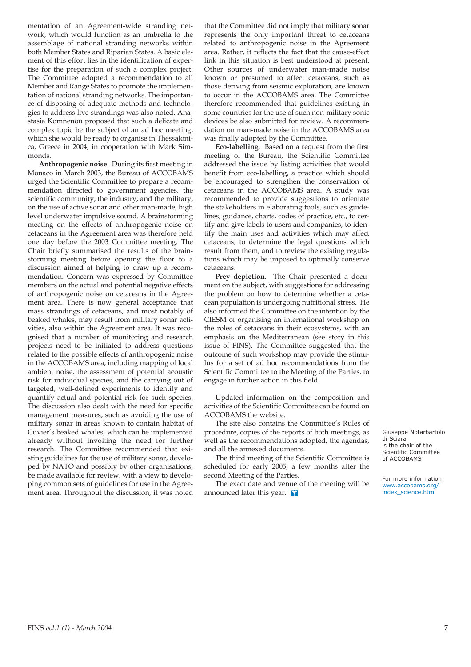mentation of an Agreement-wide stranding network, which would function as an umbrella to the assemblage of national stranding networks within both Member States and Riparian States. A basic element of this effort lies in the identification of expertise for the preparation of such a complex project. The Committee adopted a recommendation to all Member and Range States to promote the implementation of national stranding networks. The importance of disposing of adequate methods and technologies to address live strandings was also noted. Anastasia Komnenou proposed that such a delicate and complex topic be the subject of an ad hoc meeting, which she would be ready to organise in Thessalonica, Greece in 2004, in cooperation with Mark Simmonds.

**Anthropogenic noise**. During its first meeting in Monaco in March 2003, the Bureau of ACCOBAMS urged the Scientific Committee to prepare a recommendation directed to government agencies, the scientific community, the industry, and the military, on the use of active sonar and other man-made, high level underwater impulsive sound. A brainstorming meeting on the effects of anthropogenic noise on cetaceans in the Agreement area was therefore held one day before the 2003 Committee meeting. The Chair briefly summarised the results of the brainstorming meeting before opening the floor to a discussion aimed at helping to draw up a recommendation. Concern was expressed by Committee members on the actual and potential negative effects of anthropogenic noise on cetaceans in the Agreement area. There is now general acceptance that mass strandings of cetaceans, and most notably of beaked whales, may result from military sonar activities, also within the Agreement area. It was recognised that a number of monitoring and research projects need to be initiated to address questions related to the possible effects of anthropogenic noise in the ACCOBAMS area, including mapping of local ambient noise, the assessment of potential acoustic risk for individual species, and the carrying out of targeted, well-defined experiments to identify and quantify actual and potential risk for such species. The discussion also dealt with the need for specific management measures, such as avoiding the use of military sonar in areas known to contain habitat of Cuvier's beaked whales, which can be implemented already without invoking the need for further research. The Committee recommended that existing guidelines for the use of military sonar, developed by NATO and possibly by other organisations, be made available for review, with a view to developing common sets of guidelines for use in the Agreement area. Throughout the discussion, it was noted

that the Committee did not imply that military sonar represents the only important threat to cetaceans related to anthropogenic noise in the Agreement area. Rather, it reflects the fact that the cause-effect link in this situation is best understood at present. Other sources of underwater man-made noise known or presumed to affect cetaceans, such as those deriving from seismic exploration, are known to occur in the ACCOBAMS area. The Committee therefore recommended that guidelines existing in some countries for the use of such non-military sonic devices be also submitted for review. A recommendation on man-made noise in the ACCOBAMS area was finally adopted by the Committee.

**Eco-labelling**. Based on a request from the first meeting of the Bureau, the Scientific Committee addressed the issue by listing activities that would benefit from eco-labelling, a practice which should be encouraged to strengthen the conservation of cetaceans in the ACCOBAMS area. A study was recommended to provide suggestions to orientate the stakeholders in elaborating tools, such as guidelines, guidance, charts, codes of practice, etc., to certify and give labels to users and companies, to identify the main uses and activities which may affect cetaceans, to determine the legal questions which result from them, and to review the existing regulations which may be imposed to optimally conserve cetaceans.

**Prey depletion**. The Chair presented a document on the subject, with suggestions for addressing the problem on how to determine whether a cetacean population is undergoing nutritional stress. He also informed the Committee on the intention by the CIESM of organising an international workshop on the roles of cetaceans in their ecosystems, with an emphasis on the Mediterranean (see story in this issue of FINS). The Committee suggested that the outcome of such workshop may provide the stimulus for a set of ad hoc recommendations from the Scientific Committee to the Meeting of the Parties, to engage in further action in this field.

Updated information on the composition and activities of the Scientific Committee can be found on ACCOBAMS the website.

The site also contains the Committee's Rules of procedure, copies of the reports of both meetings, as well as the recommendations adopted, the agendas, and all the annexed documents.

The third meeting of the Scientific Committee is scheduled for early 2005, a few months after the second Meeting of the Parties.

The exact date and venue of the meeting will be announced later this year.

Giuseppe Notarbartolo di Sciara is the chair of the Scientific Committee of ACCOBAMS

For more information: [www.accobams.org/](http://www.accobams.org/index_science.htm) index\_science.htm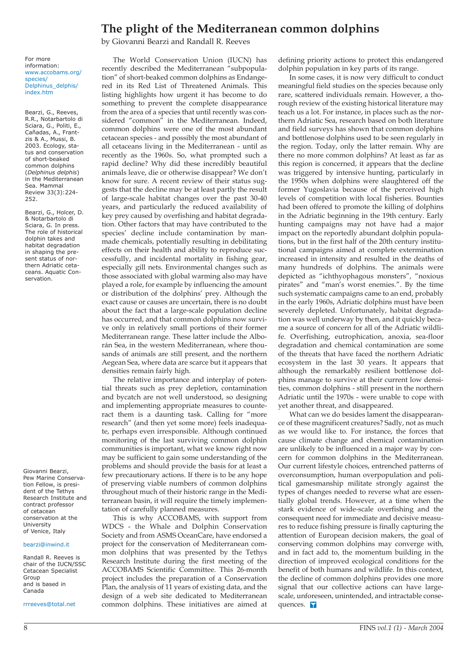# **The plight of the Mediterranean common dolphins**

by Giovanni Bearzi and Randall R. Reeves

For more information: [www.accobams.org/](http://www.accobams.org/species/Delphinus_delphis/index.htm) species/ Delphinus\_delphis/ index.htm

Bearzi, G., Reeves, R.R., Notarbartolo di Sciara, G., Politi, E., Cañadas, A., Frantzis & A., Mussi, B. 2003. Ecology, status and conservation of short-beaked common dolphins (*Delphinus delphis*) in the Mediterranean Sea. Mammal Review 33(3):224- 252.

Bearzi, G., Holcer, D. & Notarbartolo di Sciara, G. In press. The role of historical dolphin takes and habitat degradation in shaping the present status of northern Adriatic cetaceans. Aquatic Conservation.

Giovanni Bearzi, Pew Marine Conservation Fellow, is president of the Tethys Research Institute and contract professor of cetacean conservation at the University of Venice, Italy

#### [bearzi@inwind.it](mailto:bearzi@inwind.it)

Randall R. Reeves is chair of the IUCN/SSC Cetacean Specialist Group and is based in Canada

[rrreeves@total.net](mailto:rrreeves@total.net)

The World Conservation Union (IUCN) has recently described the Mediterranean "subpopulation" of short-beaked common dolphins as Endangered in its Red List of Threatened Animals. This listing highlights how urgent it has become to do something to prevent the complete disappearance from the area of a species that until recently was considered "common" in the Mediterranean. Indeed, common dolphins were one of the most abundant cetacean species - and possibly the most abundant of all cetaceans living in the Mediterranean - until as recently as the 1960s. So, what prompted such a rapid decline? Why did these incredibly beautiful animals leave, die or otherwise disappear? We don't know for sure. A recent review of their status suggests that the decline may be at least partly the result of large-scale habitat changes over the past 30-40 years, and particularly the reduced availability of key prey caused by overfishing and habitat degradation. Other factors that may have contributed to the species' decline include contamination by manmade chemicals, potentially resulting in debilitating effects on their health and ability to reproduce successfully, and incidental mortality in fishing gear, especially gill nets. Environmental changes such as those associated with global warming also may have played a role, for example by influencing the amount or distribution of the dolphins' prey. Although the exact cause or causes are uncertain, there is no doubt about the fact that a large-scale population decline has occurred, and that common dolphins now survive only in relatively small portions of their former Mediterranean range. These latter include the Alborán Sea, in the western Mediterranean, where thousands of animals are still present, and the northern Aegean Sea, where data are scarce but it appears that densities remain fairly high.

The relative importance and interplay of potential threats such as prey depletion, contamination and bycatch are not well understood, so designing and implementing appropriate measures to counteract them is a daunting task. Calling for "more research" (and then yet some more) feels inadequate, perhaps even irresponsible. Although continued monitoring of the last surviving common dolphin communities is important, what we know right now may be sufficient to gain some understanding of the problems and should provide the basis for at least a few precautionary actions. If there is to be any hope of preserving viable numbers of common dolphins throughout much of their historic range in the Mediterranean basin, it will require the timely implementation of carefully planned measures.

This is why ACCOBAMS, with support from WDCS - the Whale and Dolphin Conservation Society and from ASMS OceanCare, have endorsed a project for the conservation of Mediterranean common dolphins that was presented by the Tethys Research Institute during the first meeting of the ACCOBAMS Scientific Committee. This 26-month project includes the preparation of a Conservation Plan, the analysis of 11 years of existing data, and the design of a web site dedicated to Mediterranean common dolphins. These initiatives are aimed at

defining priority actions to protect this endangered dolphin population in key parts of its range.

In some cases, it is now very difficult to conduct meaningful field studies on the species because only rare, scattered individuals remain. However, a thorough review of the existing historical literature may teach us a lot. For instance, in places such as the northern Adriatic Sea, research based on both literature and field surveys has shown that common dolphins and bottlenose dolphins used to be seen regularly in the region. Today, only the latter remain. Why are there no more common dolphins? At least as far as this region is concerned, it appears that the decline was triggered by intensive hunting, particularly in the 1950s when dolphins were slaughtered off the former Yugoslavia because of the perceived high levels of competition with local fisheries. Bounties had been offered to promote the killing of dolphins in the Adriatic beginning in the 19th century. Early hunting campaigns may not have had a major impact on the reportedly abundant dolphin populations, but in the first half of the 20th century institutional campaigns aimed at complete extermination increased in intensity and resulted in the deaths of many hundreds of dolphins. The animals were depicted as "ichthyophagous monsters", "noxious pirates" and "man's worst enemies.". By the time such systematic campaigns came to an end, probably in the early 1960s, Adriatic dolphins must have been severely depleted. Unfortunately, habitat degradation was well underway by then, and it quickly became a source of concern for all of the Adriatic wildlife. Overfishing, eutrophication, anoxia, sea-floor degradation and chemical contamination are some of the threats that have faced the northern Adriatic ecosystem in the last 30 years. It appears that although the remarkably resilient bottlenose dolphins manage to survive at their current low densities, common dolphins - still present in the northern Adriatic until the 1970s - were unable to cope with yet another threat, and disappeared.

What can we do besides lament the disappearance of these magnificent creatures? Sadly, not as much as we would like to. For instance, the forces that cause climate change and chemical contamination are unlikely to be influenced in a major way by concern for common dolphins in the Mediterranean. Our current lifestyle choices, entrenched patterns of overconsumption, human overpopulation and political gamesmanship militate strongly against the types of changes needed to reverse what are essentially global trends. However, at a time when the stark evidence of wide-scale overfishing and the consequent need for immediate and decisive measures to reduce fishing pressure is finally capturing the attention of European decision makers, the goal of conserving common dolphins may converge with, and in fact add to, the momentum building in the direction of improved ecological conditions for the benefit of both humans and wildlife. In this context, the decline of common dolphins provides one more signal that our collective actions can have largescale, unforeseen, unintended, and intractable consequences. **Y**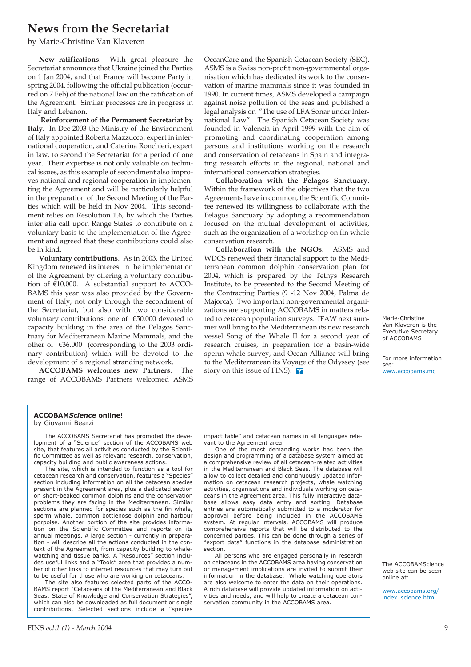# **News from the Secretariat**

by Marie-Christine Van Klaveren

**New ratifications**. With great pleasure the Secretariat announces that Ukraine joined the Parties on 1 Jan 2004, and that France will become Party in spring 2004, following the official publication (occurred on 7 Feb) of the national law on the ratification of the Agreement. Similar processes are in progress in Italy and Lebanon.

**Reinforcement of the Permanent Secretariat by Italy**. In Dec 2003 the Ministry of the Environment of Italy appointed Roberta Mazzucco, expert in international cooperation, and Caterina Ronchieri, expert in law, to second the Secretariat for a period of one year. Their expertise is not only valuable on technical issues, as this example of secondment also improves national and regional cooperation in implementing the Agreement and will be particularly helpful in the preparation of the Second Meeting of the Parties which will be held in Nov 2004. This secondment relies on Resolution 1.6, by which the Parties inter alia call upon Range States to contribute on a voluntary basis to the implementation of the Agreement and agreed that these contributions could also be in kind.

**Voluntary contributions**. As in 2003, the United Kingdom renewed its interest in the implementation of the Agreement by offering a voluntary contribution of €10.000. A substantial support to ACCO-BAMS this year was also provided by the Government of Italy, not only through the secondment of the Secretariat, but also with two considerable voluntary contributions: one of €50.000 devoted to capacity building in the area of the Pelagos Sanctuary for Mediterranean Marine Mammals, and the other of €36.000 (corresponding to the 2003 ordinary contribution) which will be devoted to the development of a regional stranding network.

**ACCOBAMS welcomes new Partners**. The range of ACCOBAMS Partners welcomed ASMS OceanCare and the Spanish Cetacean Society (SEC). ASMS is a Swiss non-profit non-governmental organisation which has dedicated its work to the conservation of marine mammals since it was founded in 1990. In current times, ASMS developed a campaign against noise pollution of the seas and published a legal analysis on "The use of LFA Sonar under International Law". The Spanish Cetacean Society was founded in Valencia in April 1999 with the aim of promoting and coordinating cooperation among persons and institutions working on the research and conservation of cetaceans in Spain and integrating research efforts in the regional, national and international conservation strategies.

**Collaboration with the Pelagos Sanctuary**. Within the framework of the objectives that the two Agreements have in common, the Scientific Committee renewed its willingness to collaborate with the Pelagos Sanctuary by adopting a recommendation focused on the mutual development of activities, such as the organization of a workshop on fin whale conservation research.

**Collaboration with the NGOs**. ASMS and WDCS renewed their financial support to the Mediterranean common dolphin conservation plan for 2004, which is prepared by the Tethys Research Institute, to be presented to the Second Meeting of the Contracting Parties (9 -12 Nov 2004, Palma de Majorca). Two important non-governmental organizations are supporting ACCOBAMS in matters related to cetacean population surveys. IFAW next summer will bring to the Mediterranean its new research vessel Song of the Whale II for a second year of research cruises, in preparation for a basin-wide sperm whale survey, and Ocean Alliance will bring to the Mediterranean its Voyage of the Odyssey (see story on this issue of FINS).

Marie-Christine Van Klaveren is the Executive Secretary of ACCOBAMS

For more information see: [www.accobams.mc](http://www.accobams.mc)

#### **ACCOBAM***Science* **online!** by Giovanni Bearzi

The ACCOBAMS Secretariat has promoted the development of a "Science" section of the ACCOBAMS web site, that features all activities conducted by the Scientific Committee as well as relevant research, conservation, capacity building and public awareness actions.

The site, which is intended to function as a tool for cetacean research and conservation, features a "Species" section including information on all the cetacean species present in the Agreement area, plus a dedicated section on short-beaked common dolphins and the conservation problems they are facing in the Mediterranean. Similar sections are planned for species such as the fin whale, sperm whale, common bottlenose dolphin and harbour porpoise. Another portion of the site provides information on the Scientific Committee and reports on its annual meetings. A large section - currently in preparation - will describe all the actions conducted in the context of the Agreement, from capacity building to whalewatching and tissue banks. A "Resources" section includes useful links and a "Tools" area that provides a number of other links to internet resources that may turn out to be useful for those who are working on cetaceans.

The site also features selected parts of the ACCO-BAMS report "Cetaceans of the Mediterranean and Black Seas: State of Knowledge and Conservation Strategies", which can also be downloaded as full document or single contributions. Selected sections include a "species impact table" and cetacean names in all languages relevant to the Agreement area.

One of the most demanding works has been the design and programming of a database system aimed at a comprehensive review of all cetacean-related activities in the Mediterranean and Black Seas. The database will allow to collect detailed and continuously updated information on cetacean research projects, whale watching activities, organisations and individuals working on cetaceans in the Agreement area. This fully interactive database allows easy data entry and sorting. Database entries are automatically submitted to a moderator for approval before being included in the ACCOBAMS system. At regular intervals, ACCOBAMS will produce comprehensive reports that will be distributed to the concerned parties. This can be done through a series of "export data" functions in the database administration section.

All persons who are engaged personally in research on cetaceans in the ACCOBAMS area having conservation or management implications are invited to submit their information in the database. Whale watching operators are also welcome to enter the data on their operations. A rich database will provide updated information on activities and needs, and will help to create a cetacean conservation community in the ACCOBAMS area.

The ACCOBAMScience web site can be seen online at:

[www.accobams.org/](http://www.accobams.org/index_science.htm) index\_science.htm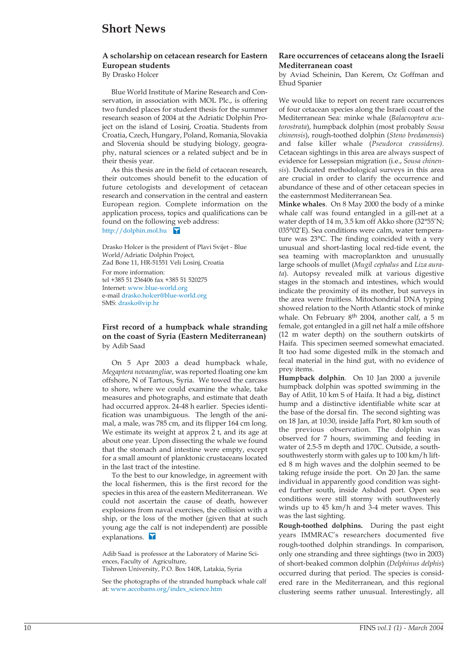## **Short News**

### **A scholarship on cetacean research for Eastern European students**

By Drasko Holcer

Blue World Institute of Marine Research and Conservation, in association with MOL Plc., is offering two funded places for student thesis for the summer research season of 2004 at the Adriatic Dolphin Project on the island of Losinj, Croatia. Students from Croatia, Czech, Hungary, Poland, Romania, Slovakia and Slovenia should be studying biology, geography, natural sciences or a related subject and be in their thesis year.

As this thesis are in the field of cetacean research, their outcomes should benefit to the education of future cetologists and development of cetacean research and conservation in the central and eastern European region. Complete information on the application process, topics and qualifications can be found on the following web address: <http://dolphin.mol.hu>

Drasko Holcer is the president of Plavi Svijet - Blue World/Adriatic Dolphin Project, Zad Bone 11, HR-51551 Veli Losinj, Croatia For more information: tel +385 51 236406 fax +385 51 520275 Internet[: www.blue-world.org](http://www.blue-world.org) e-mai[l drasko.holcer@blue-world.org](mailto:drasko.holcer@blue-world.org) SMS: drasko@vip.hr

**First record of a humpback whale stranding on the coast of Syria (Eastern Mediterranean)** by Adib Saad

On 5 Apr 2003 a dead humpback whale, *Megaptera novaeangliae*, was reported floating one km offshore, N of Tartous, Syria. We towed the carcass to shore, where we could examine the whale, take measures and photographs, and estimate that death had occurred approx. 24-48 h earlier. Species identification was unambiguous. The length of the animal, a male, was 785 cm, and its flipper 164 cm long. We estimate its weight at approx 2 t, and its age at about one year. Upon dissecting the whale we found that the stomach and intestine were empty, except for a small amount of planktonic crustaceans located in the last tract of the intestine.

To the best to our knowledge, in agreement with the local fishermen, this is the first record for the species in this area of the eastern Mediterranean. We could not ascertain the cause of death, however explosions from naval exercises, the collision with a ship, or the loss of the mother (given that at such young age the calf is not independent) are possible explanations.

Adib Saad is professor at the Laboratory of Marine Sciences, Faculty of Agriculture,

Tishreen University, P.O. Box 1408, Latakia, Syria

See the photographs of the stranded humpback whale calf at: [www.accobams.org/index\\_science.htm](http://www.accobams.org/index_science.htm)

### **Rare occurrences of cetaceans along the Israeli Mediterranean coast**

by Aviad Scheinin, Dan Kerem, Oz Goffman and Ehud Spanier

We would like to report on recent rare occurrences of four cetacean species along the Israeli coast of the Mediterranean Sea: minke whale (*Balaenoptera acutorostrata*), humpback dolphin (most probably *Sousa chinensis*), rough-toothed dolphin (*Steno bredanensis*) and false killer whale (*Pseudorca crassidens)*. Cetacean sightings in this area are always suspect of evidence for Lessepsian migration (i.e., *Sousa chinensis*). Dedicated methodological surveys in this area are crucial in order to clarify the occurrence and abundance of these and of other cetacean species in the easternmost Mediterranean Sea.

**Minke whales**. On 8 May 2000 the body of a minke whale calf was found entangled in a gill-net at a water depth of 14 m, 3.5 km off Akko shore (32°55'N; 035°02'E). Sea conditions were calm, water temperature was 23°C. The finding coincided with a very unusual and short-lasting local red-tide event, the sea teaming with macroplankton and unusually large schools of mullet (*Mugil cephalus* and *Liza aurata*). Autopsy revealed milk at various digestive stages in the stomach and intestines, which would indicate the proximity of its mother, but surveys in the area were fruitless. Mitochondrial DNA typing showed relation to the North Atlantic stock of minke whale. On February 8th 2004, another calf, a 5 m female, got entangled in a gill net half a mile offshore (12 m water depth) on the southern outskirts of Haifa. This specimen seemed somewhat emaciated. It too had some digested milk in the stomach and fecal material in the hind gut, with no evidence of prey items.

**Humpback dolphin**. On 10 Jan 2000 a juvenile humpback dolphin was spotted swimming in the Bay of Atlit, 10 km S of Haifa. It had a big, distinct hump and a distinctive identifiable white scar at the base of the dorsal fin. The second sighting was on 18 Jan, at 10:30, inside Jaffa Port, 80 km south of the previous observation. The dolphin was observed for 7 hours, swimming and feeding in water of 2.5-5 m depth and 170C. Outside, a southsouthwesterly storm with gales up to 100 km/h lifted 8 m high waves and the dolphin seemed to be taking refuge inside the port. On 20 Jan. the same individual in apparently good condition was sighted further south, inside Ashdod port. Open sea conditions were still stormy with southwesterly winds up to 45 km/h and 3-4 meter waves. This was the last sighting.

**Rough-toothed dolphins.** During the past eight years IMMRAC's researchers documented five rough-toothed dolphin strandings. In comparison, only one stranding and three sightings (two in 2003) of short-beaked common dolphin (*Delphinus delphis*) occurred during that period. The species is considered rare in the Mediterranean, and this regional clustering seems rather unusual. Interestingly, all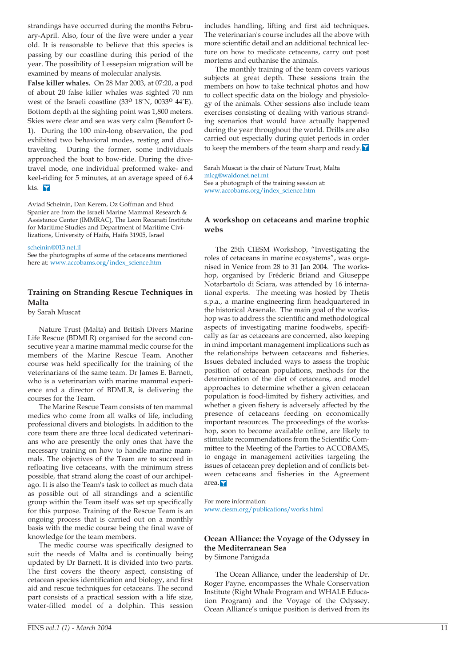strandings have occurred during the months February-April. Also, four of the five were under a year old. It is reasonable to believe that this species is passing by our coastline during this period of the year. The possibility of Lessepsian migration will be examined by means of molecular analysis.

**False killer whales.** On 28 Mar 2003, at 07:20, a pod of about 20 false killer whales was sighted 70 nm west of the Israeli coastline  $(33^O 18'N, 0033^O 44'E)$ . Bottom depth at the sighting point was 1,800 meters. Skies were clear and sea was very calm (Beaufort 0- 1). During the 100 min-long observation, the pod exhibited two behavioral modes, resting and divetraveling. During the former, some individuals approached the boat to bow-ride. During the divetravel mode, one individual preformed wake- and keel-riding for 5 minutes, at an average speed of 6.4 kts.

Aviad Scheinin, Dan Kerem, Oz Goffman and Ehud Spanier are from the Israeli Marine Mammal Research & Assistance Center (IMMRAC), The Leon Recanati Institute for Maritime Studies and Department of Maritime Civilizations, University of Haifa, Haifa 31905, Israel

### [scheinin@013.net.il](mailto:scheinin@013.net.il)

See the photographs of some of the cetaceans mentioned here at[: www.accobams.org/index\\_science.htm](http://www.accobams.org/index_science.htm)

### **Training on Stranding Rescue Techniques in Malta**

by Sarah Muscat

Nature Trust (Malta) and British Divers Marine Life Rescue (BDMLR) organised for the second consecutive year a marine mammal medic course for the members of the Marine Rescue Team. Another course was held specifically for the training of the veterinarians of the same team. Dr James E. Barnett, who is a veterinarian with marine mammal experience and a director of BDMLR, is delivering the courses for the Team.

The Marine Rescue Team consists of ten mammal medics who come from all walks of life, including professional divers and biologists. In addition to the core team there are three local dedicated veterinarians who are presently the only ones that have the necessary training on how to handle marine mammals. The objectives of the Team are to succeed in refloating live cetaceans, with the minimum stress possible, that strand along the coast of our archipelago. It is also the Team's task to collect as much data as possible out of all strandings and a scientific group within the Team itself was set up specifically for this purpose. Training of the Rescue Team is an ongoing process that is carried out on a monthly basis with the medic course being the final wave of knowledge for the team members.

The medic course was specifically designed to suit the needs of Malta and is continually being updated by Dr Barnett. It is divided into two parts. The first covers the theory aspect, consisting of cetacean species identification and biology, and first aid and rescue techniques for cetaceans. The second part consists of a practical session with a life size, water-filled model of a dolphin. This session includes handling, lifting and first aid techniques. The veterinarian's course includes all the above with more scientific detail and an additional technical lecture on how to medicate cetaceans, carry out post mortems and euthanise the animals.

The monthly training of the team covers various subjects at great depth. These sessions train the members on how to take technical photos and how to collect specific data on the biology and physiology of the animals. Other sessions also include team exercises consisting of dealing with various stranding scenarios that would have actually happened during the year throughout the world. Drills are also carried out especially during quiet periods in order to keep the members of the team sharp and ready.  $\blacksquare$ 

Sarah Muscat is the chair of Nature Trust, Malta [mlcg@waldonet.net.mt](mailto:mlcg@waldonet.net.mt) See a photograph of the training session at: [www.accobams.org/index\\_science.htm](http://www.accobams.org/index_science.htm) 

### **A workshop on cetaceans and marine trophic webs**

The 25th CIESM Workshop, "Investigating the roles of cetaceans in marine ecosystems", was organised in Venice from 28 to 31 Jan 2004. The workshop, organised by Fréderic Briand and Giuseppe Notarbartolo di Sciara, was attended by 16 international experts. The meeting was hosted by Thetis s.p.a., a marine engineering firm headquartered in the historical Arsenale. The main goal of the workshop was to address the scientific and methodological aspects of investigating marine foodwebs, specifically as far as cetaceans are concerned, also keeping in mind important management implications such as the relationships between cetaceans and fisheries. Issues debated included ways to assess the trophic position of cetacean populations, methods for the determination of the diet of cetaceans, and model approaches to determine whether a given cetacean population is food-limited by fishery activities, and whether a given fishery is adversely affected by the presence of cetaceans feeding on economically important resources. The proceedings of the workshop, soon to become available online, are likely to stimulate recommendations from the Scientific Committee to the Meeting of the Parties to ACCOBAMS, to engage in management activities targeting the issues of cetacean prey depletion and of conflicts between cetaceans and fisheries in the Agreement area.<sup>7</sup>

For more information: [www.ciesm.org/publications/works.html](http://www.ciesm.org/publications/works.html) 

### **Ocean Alliance: the Voyage of the Odyssey in the Mediterranean Sea**

by Simone Panigada

The Ocean Alliance, under the leadership of Dr. Roger Payne, encompasses the Whale Conservation Institute (Right Whale Program and WHALE Education Program) and the Voyage of the Odyssey. Ocean Alliance's unique position is derived from its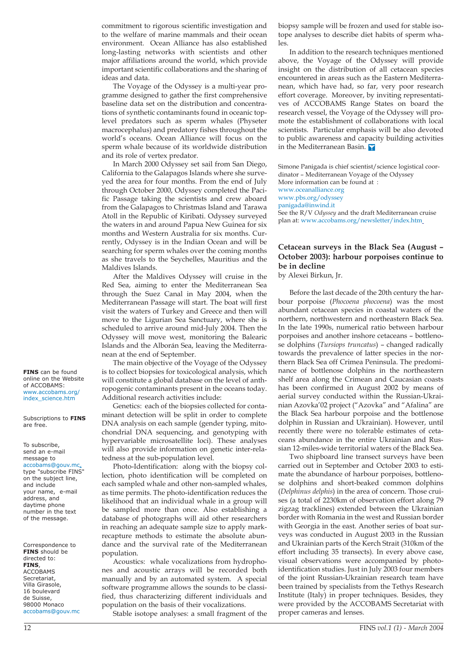commitment to rigorous scientific investigation and to the welfare of marine mammals and their ocean environment. Ocean Alliance has also established long-lasting networks with scientists and other major affiliations around the world, which provide important scientific collaborations and the sharing of ideas and data.

The Voyage of the Odyssey is a multi-year programme designed to gather the first comprehensive baseline data set on the distribution and concentrations of synthetic contaminants found in oceanic toplevel predators such as sperm whales (Physeter macrocephalus) and predatory fishes throughout the world's oceans. Ocean Alliance will focus on the sperm whale because of its worldwide distribution and its role of vertex predator.

In March 2000 Odyssey set sail from San Diego, California to the Galapagos Islands where she surveyed the area for four months. From the end of July through October 2000, Odyssey completed the Pacific Passage taking the scientists and crew aboard from the Galapagos to Christmas Island and Tarawa Atoll in the Republic of Kiribati. Odyssey surveyed the waters in and around Papua New Guinea for six months and Western Australia for six months. Currently, Odyssey is in the Indian Ocean and will be searching for sperm whales over the coming months as she travels to the Seychelles, Mauritius and the Maldives Islands.

After the Maldives Odyssey will cruise in the Red Sea, aiming to enter the Mediterranean Sea through the Suez Canal in May 2004, when the Mediterranean Passage will start. The boat will first visit the waters of Turkey and Greece and then will move to the Ligurian Sea Sanctuary, where she is scheduled to arrive around mid-July 2004. Then the Odyssey will move west, monitoring the Balearic Islands and the Alborán Sea, leaving the Mediterranean at the end of September.

The main objective of the Voyage of the Odyssey is to collect biopsies for toxicological analysis, which will constitute a global database on the level of anthropogenic contaminants present in the oceans today. Additional research activities include:

Genetics: each of the biopsies collected for contaminant detection will be split in order to complete DNA analysis on each sample (gender typing, mitochondrial DNA sequencing, and genotyping with hypervariable microsatellite loci). These analyses will also provide information on genetic inter-relatedness at the sub-population level.

Photo-Identification: along with the biopsy collection, photo identification will be completed on each sampled whale and other non-sampled whales, as time permits. The photo-identification reduces the likelihood that an individual whale in a group will be sampled more than once. Also establishing a database of photographs will aid other researchers in reaching an adequate sample size to apply markrecapture methods to estimate the absolute abundance and the survival rate of the Mediterranean population.

Acoustics: whale vocalizations from hydrophones and acoustic arrays will be recorded both manually and by an automated system. A special software programme allows the sounds to be classified, thus characterizing different individuals and population on the basis of their vocalizations.

Stable isotope analyses: a small fragment of the

biopsy sample will be frozen and used for stable isotope analyses to describe diet habits of sperm whales.

In addition to the research techniques mentioned above, the Voyage of the Odyssey will provide insight on the distribution of all cetacean species encountered in areas such as the Eastern Mediterranean, which have had, so far, very poor research effort coverage. Moreover, by inviting representatives of ACCOBAMS Range States on board the research vessel, the Voyage of the Odyssey will promote the establishment of collaborations with local scientists. Particular emphasis will be also devoted to public awareness and capacity building activities in the Mediterranean Basin.

Simone Panigada is chief scientist/science logistical coordinator – Mediterranean Voyage of the Odyssey More information can be found at : [www.oceanalliance.org](http://www.oceanalliance.org) [www.pbs.org/odyssey](http://www.pbs.org/odyssey) [panigada@inwind.it](mailto:panigada@inwind.it) See the R/V *Odyssey* and the draft Mediterranean cruise plan a[t: www.accobams.org/newsletter/index.htm](http://www.accobams.org/index_science.htm)

### **Cetacean surveys in the Black Sea (August – October 2003): harbour porpoises continue to be in decline**

by Alexei Birkun, Jr.

Before the last decade of the 20th century the harbour porpoise (*Phocoena phocoena*) was the most abundant cetacean species in coastal waters of the northern, northwestern and northeastern Black Sea. In the late 1990s, numerical ratio between harbour porpoises and another inshore cetaceans – bottlenose dolphins (*Tursiops truncatus*) – changed radically towards the prevalence of latter species in the northern Black Sea off Crimea Peninsula. The predominance of bottlenose dolphins in the northeastern shelf area along the Crimean and Caucasian coasts has been confirmed in August 2002 by means of aerial survey conducted within the Russian-Ukrainian Azovka'02 project ("Azovka" and "Afalina" are the Black Sea harbour porpoise and the bottlenose dolphin in Russian and Ukrainian). However, until recently there were no tolerable estimates of cetaceans abundance in the entire Ukrainian and Russian 12-miles-wide territorial waters of the Black Sea.

Two shipboard line transect surveys have been carried out in September and October 2003 to estimate the abundance of harbour porpoises, bottlenose dolphins and short-beaked common dolphins (*Delphinus delphis*) in the area of concern. Those cruises (a total of 2230km of observation effort along 79 zigzag tracklines) extended between the Ukrainian border with Romania in the west and Russian border with Georgia in the east. Another series of boat surveys was conducted in August 2003 in the Russian and Ukrainian parts of the Kerch Strait (310km of the effort including 35 transects). In every above case, visual observations were accompanied by photoidentification studies. Just in July 2003 four members of the joint Russian-Ukrainian research team have been trained by specialists from the Tethys Research Institute (Italy) in proper techniques. Besides, they were provided by the ACCOBAMS Secretariat with proper cameras and lenses.

**FINS** can be found online on the Website of ACCOBAMS: [www.accobams.org/](http://www.accobams.org/index_science.htm) index\_science.htm

Subscriptions to **FINS** are free.

#### To subscribe, send an e-mail message to

[accobams@gouv.mc,](mailto:accobams@gouv.mc) type "subscribe FINS" on the subject line, and include your name, e-mail address, and daytime phone number in the text

of the message.

Correspondence to **FINS** should be directed to: **FINS**, ACCOBAMS Secretariat, Villa Girasole, 16 boulevard de Suisse, 98000 Monaco [accobams@gouv.mc](mailto:accobams@gouv.mc)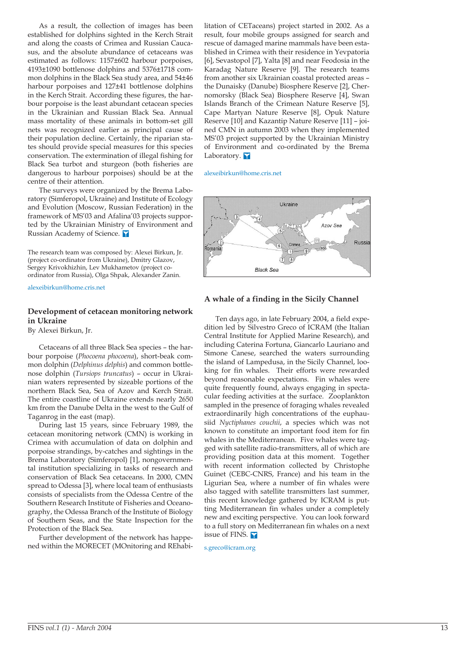As a result, the collection of images has been established for dolphins sighted in the Kerch Strait and along the coasts of Crimea and Russian Caucasus, and the absolute abundance of cetaceans was estimated as follows: 1157±602 harbour porpoises, 4193±1090 bottlenose dolphins and 5376±1718 common dolphins in the Black Sea study area, and 54±46 harbour porpoises and 127±41 bottlenose dolphins in the Kerch Strait. According these figures, the harbour porpoise is the least abundant cetacean species in the Ukrainian and Russian Black Sea. Annual mass mortality of these animals in bottom-set gill nets was recognized earlier as principal cause of their population decline. Certainly, the riparian states should provide special measures for this species conservation. The extermination of illegal fishing for Black Sea turbot and sturgeon (both fisheries are dangerous to harbour porpoises) should be at the centre of their attention.

The surveys were organized by the Brema Laboratory (Simferopol, Ukraine) and Institute of Ecology and Evolution (Moscow, Russian Federation) in the framework of MS'03 and Afalina'03 projects supported by the Ukrainian Ministry of Environment and Russian Academy of Science.

The research team was composed by: Alexei Birkun, Jr. (project co-ordinator from Ukraine), Dmitry Glazov, Sergey Krivokhizhin, Lev Mukhametov (project coordinator from Russia), Olga Shpak, Alexander Zanin.

[alexeibirkun@home.cris.net](mailto:alexeibirkun@home.cris.net)

### **Development of cetacean monitoring network in Ukraine**

By Alexei Birkun, Jr.

Cetaceans of all three Black Sea species – the harbour porpoise (*Phocoena phocoena*), short-beak common dolphin (*Delphinus delphis*) and common bottlenose dolphin (*Tursiops truncatus*) – occur in Ukrainian waters represented by sizeable portions of the northern Black Sea, Sea of Azov and Kerch Strait. The entire coastline of Ukraine extends nearly 2650 km from the Danube Delta in the west to the Gulf of Taganrog in the east (map).

During last 15 years, since February 1989, the cetacean monitoring network (CMN) is working in Crimea with accumulation of data on dolphin and porpoise strandings, by-catches and sightings in the Brema Laboratory (Simferopol) [1], nongovernmental institution specializing in tasks of research and conservation of Black Sea cetaceans. In 2000, CMN spread to Odessa [3], where local team of enthusiasts consists of specialists from the Odessa Centre of the Southern Research Institute of Fisheries and Oceanography, the Odessa Branch of the Institute of Biology of Southern Seas, and the State Inspection for the Protection of the Black Sea.

Further development of the network has happened within the MORECET (MOnitoring and REhabilitation of CETaceans) project started in 2002. As a result, four mobile groups assigned for search and rescue of damaged marine mammals have been established in Crimea with their residence in Yevpatoria [6], Sevastopol [7], Yalta [8] and near Feodosia in the Karadag Nature Reserve [9]. The research teams from another six Ukrainian coastal protected areas – the Dunaisky (Danube) Biosphere Reserve [2], Chernomorsky (Black Sea) Biosphere Reserve [4], Swan Islands Branch of the Crimean Nature Reserve [5], Cape Martyan Nature Reserve [8], Opuk Nature Reserve [10] and Kazantip Nature Reserve [11] – joined CMN in autumn 2003 when they implemented MS'03 project supported by the Ukrainian Ministry of Environment and co-ordinated by the Brema Laboratory.

[alexeibirkun@home.cris.net](mailto:alexeibirkun@home.cris.net)



### **A whale of a finding in the Sicily Channel**

Ten days ago, in late February 2004, a field expedition led by Silvestro Greco of ICRAM (the Italian Central Institute for Applied Marine Research), and including Caterina Fortuna, Giancarlo Lauriano and Simone Canese, searched the waters surrounding the island of Lampedusa, in the Sicily Channel, looking for fin whales. Their efforts were rewarded beyond reasonable expectations. Fin whales were quite frequently found, always engaging in spectacular feeding activities at the surface. Zooplankton sampled in the presence of foraging whales revealed extraordinarily high concentrations of the euphausiid *Nyctiphanes couchii*, a species which was not known to constitute an important food item for fin whales in the Mediterranean. Five whales were tagged with satellite radio-transmitters, all of which are providing position data at this moment. Together with recent information collected by Christophe Guinet (CEBC-CNRS, France) and his team in the Ligurian Sea, where a number of fin whales were also tagged with satellite transmitters last summer, this recent knowledge gathered by ICRAM is putting Mediterranean fin whales under a completely new and exciting perspective. You can look forward to a full story on Mediterranean fin whales on a next issue of FINS.

[s.greco@icram.org](mailto:s.greco@icram.org)